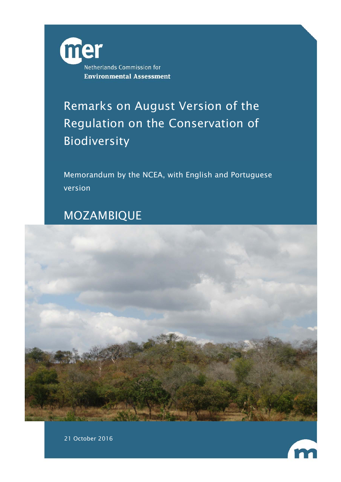

# Remarks on August Version of the Regulation on the Conservation of Biodiversity

Memorandum by the NCEA, with English and Portuguese version

# MOZAMBIQUE





21 October 2016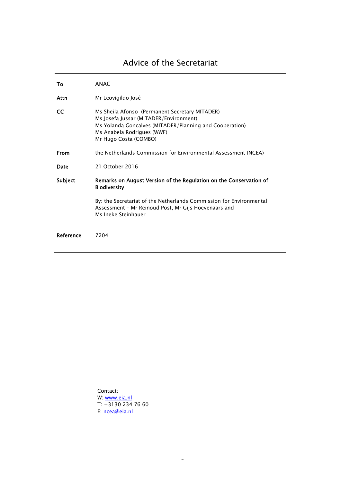# Advice of the Secretariat

| Т٥          | <b>ANAC</b>                                                                                                                                                                                                |
|-------------|------------------------------------------------------------------------------------------------------------------------------------------------------------------------------------------------------------|
| Attn        | Mr Leovigildo José                                                                                                                                                                                         |
| <b>CC</b>   | Ms Sheila Afonso (Permanent Secretary MITADER)<br>Ms Josefa Jussar (MITADER/Environment)<br>Ms Yolanda Goncalves (MITADER/Planning and Cooperation)<br>Ms Anabela Rodrigues (WWF)<br>Mr Hugo Costa (COMBO) |
| <b>From</b> | the Netherlands Commission for Environmental Assessment (NCEA)                                                                                                                                             |
| Date        | 21 October 2016                                                                                                                                                                                            |
| Subject     | Remarks on August Version of the Regulation on the Conservation of<br><b>Biodiversity</b>                                                                                                                  |
|             | By: the Secretariat of the Netherlands Commission for Environmental<br>Assessment - Mr Reinoud Post, Mr Gijs Hoevenaars and<br>Ms Ineke Steinhauer                                                         |
| Reference   | 7204                                                                                                                                                                                                       |

Contact: W: www.eia.nl  $T: +31302347660$ E: ncea@eia.nl

-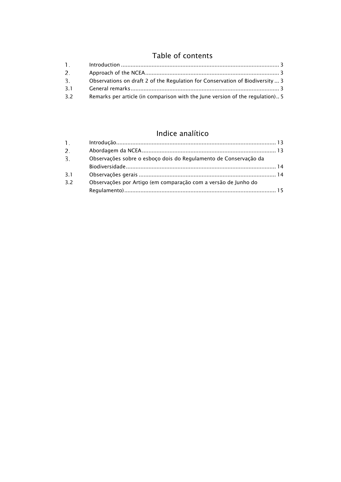## Table of contents

| 1.           |                                                                               |  |
|--------------|-------------------------------------------------------------------------------|--|
| 2.           |                                                                               |  |
| $\mathbf{3}$ | Observations on draft 2 of the Regulation for Conservation of Biodiversity  3 |  |
| 3.1          |                                                                               |  |
| 3.2          | Remarks per article (in comparison with the June version of the regulation) 5 |  |

## Indice analítico

| $\mathbf{1}$ . |                                                                  |  |
|----------------|------------------------------------------------------------------|--|
| 2.             |                                                                  |  |
| 3.             | Observações sobre o esboço dois do Regulamento de Conservação da |  |
|                |                                                                  |  |
| 3 I            |                                                                  |  |
| -32            | Observações por Artigo (em comparação com a versão de Junho do   |  |
|                |                                                                  |  |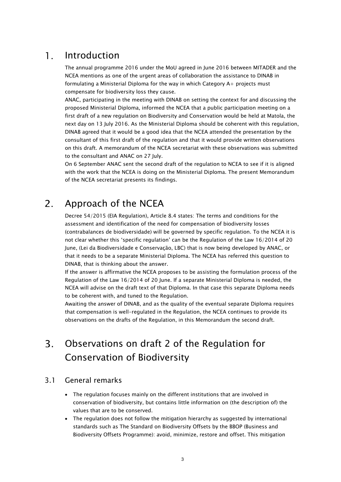#### $\mathbf{1}$ . Introduction

The annual programme 2016 under the MoU agreed in June 2016 between MITADER and the NCEA mentions as one of the urgent areas of collaboration the assistance to DINAB in formulating a Ministerial Diploma for the way in which Category A+ projects must compensate for biodiversity loss they cause.

ANAC, participating in the meeting with DINAB on setting the context for and discussing the proposed Ministerial Diploma, informed the NCEA that a public participation meeting on a first draft of a new regulation on Biodiversity and Conservation would be held at Matola, the next day on 13 July 2016. As the Ministerial Diploma should be coherent with this regulation, DINAB agreed that it would be a good idea that the NCEA attended the presentation by the consultant of this first draft of the regulation and that it would provide written observations on this draft. A memorandum of the NCEA secretariat with these observations was submitted to the consultant and ANAC on 27 July.

On 6 September ANAC sent the second draft of the regulation to NCEA to see if it is aligned with the work that the NCEA is doing on the Ministerial Diploma. The present Memorandum of the NCEA secretariat presents its findings.

#### Approach of the NCEA 2.

Decree 54/2015 (EIA Regulation), Article 8.4 states: The terms and conditions for the assessment and identification of the need for compensation of biodiversity losses (contrabalances de biodiversidade) will be governed by specific regulation. To the NCEA it is not clear whether this 'specific regulation' can be the Regulation of the Law 16/2014 of 20 June, (Lei da Biodiversidade e Conservação, LBC) that is now being developed by ANAC, or that it needs to be a separate Ministerial Diploma. The NCEA has referred this question to DINAB, that is thinking about the answer.

If the answer is affirmative the NCEA proposes to be assisting the formulation process of the Regulation of the Law 16/2014 of 20 June. If a separate Ministerial Diploma is needed, the NCEA will advise on the draft text of that Diploma. In that case this separate Diploma needs to be coherent with, and tuned to the Regulation.

Awaiting the answer of DINAB, and as the quality of the eventual separate Diploma requires that compensation is well-regulated in the Regulation, the NCEA continues to provide its observations on the drafts of the Regulation, in this Memorandum the second draft.

### Observations on draft 2 of the Regulation for  $\overline{3}$ . Conservation of Biodiversity

### 3.1 General remarks

- The regulation focuses mainly on the different institutions that are involved in conservation of biodiversity, but contains little information on (the description of) the values that are to be conserved.
- The regulation does not follow the mitigation hierarchy as suggested by international standards such as The Standard on Biodiversity Offsets by the BBOP (Business and Biodiversity Offsets Programme): avoid, minimize, restore and offset. This mitigation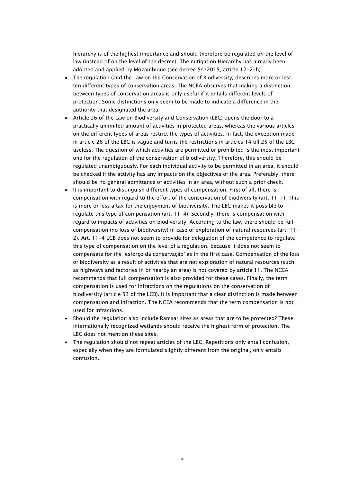hierarchy is of the highest importance and should therefore be regulated on the level of law (instead of on the level of the decree). The mitigation Hierarchy has already been adopted and applied by Mozambique (see decree 54/2015, article 12-2-h).

- The regulation (and the Law on the Conservation of Biodiversity) describes more or less ten different types of conservation areas. The NCEA observes that making a distinction between types of conservation areas is only useful if it entails different levels of protection. Some distinctions only seem to be made to indicate a difference in the authority that designated the area.
- Article 26 of the Law on Biodiversity and Conservation (LBC) opens the door to a practically unlimited amount of activities in protected areas, whereas the various articles on the different types of areas restrict the types of activities. In fact, the exception made in article 26 of the LBC is vague and turns the restrictions in articles 14 till 25 of the LBC useless. The question of which activities are permitted or prohibited is the most important one for the regulation of the conservation of biodiversity. Therefore, this should be regulated unambiguously. For each individual activity to be permitted in an area, it should be checked if the activity has any impacts on the objectives of the area. Preferably, there should be no general admittance of activities in an area, without such a prior check.
- It is important to distinguish different types of compensation. First of all, there is compensation with regard to the effort of the conservation of biodiversity (art. 11-1). This is more or less a tax for the enjoyment of biodiversity. The LBC makes it possible to regulate this type of compensation (art. 11-4). Secondly, there is compensation with regard to impacts of activities on biodiversity. According to the law, there should be full compensation (no loss of biodiversity) in case of exploration of natural resources (art. 11- 2). Art. 11-4 LCB does not seem to provide for delegation of the competence to regulate this type of compensation on the level of a regulation, because it does not seem to compensate for the 'esforço da conservação' as in the first case. Compensation of the loss of biodiversity as a result of activities that are not exploration of natural resources (such as highways and factories in or nearby an area) is not covered by article 11. The NCEA recommends that full compensation is also provided for these cases. Finally, the term compensation is used for infractions on the regulations on the conservation of biodiversity (article 53 of the LCB). It is important that a clear distinction is made between compensation and infraction. The NCEA recommends that the term compensation is not used for infractions.
- Should the regulation also include Ramsar sites as areas that are to be protected? These internationally recognized wetlands should receive the highest form of protection. The LBC does not mention these sites.
- The regulation should not repeat articles of the LBC. Repetitions only entail confusion, especially when they are formulated slightly different from the original, only entails confusion.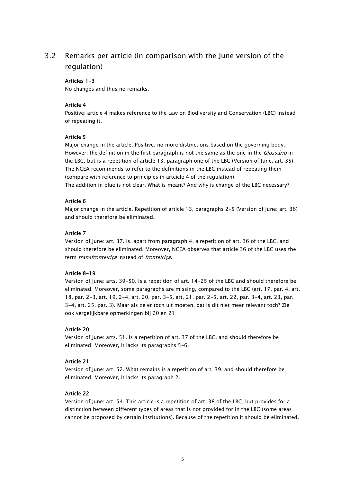### 3.2 Remarks per article (in comparison with the June version of the regulation)

### Articles 1-3

No changes and thus no remarks.

### Article 4

Positive: article 4 makes reference to the Law on Biodiversity and Conservation (LBC) instead of repeating it.

### Article 5

Major change in the article. Positive: no more distinctions based on the governing body. However, the definition in the first paragraph is not the same as the one in the *Glossário* in the LBC, but is a repetition of article 13, paragraph one of the LBC (Version of June: art. 35). The NCEA recommends to refer to the definitions in the LBC instead of repeating them (compare with reference to principles in artcicle 4 of the regulation).

The addition in blue is not clear. What is meant? And why is change of the LBC necessary?

### Article 6

Major change in the article. Repetition of article 13, paragraphs 2-5 (Version of June: art. 36) and should therefore be eliminated.

### Article 7

Version of June: art. 37. Is, apart from paragraph 4, a repetition of art. 36 of the LBC, and should therefore be eliminated. Moreover, NCEA observes that article 36 of the LBC uses the term transfronteiriça instead of fronteiriça.

### Article 8-19

Version of June: arts. 39-50. Is a repetition of art. 14-25 of the LBC and should therefore be eliminated. Moreover, some paragraphs are missing, compared to the LBC (art. 17, par. 4, art. 18, par. 2-3, art. 19, 2-4, art. 20, par. 3-5, art. 21, par. 2-5, art. 22, par. 3-4, art. 23, par. 3-4, art. 25, par. 3). Maar als ze er toch uit moeten, dat is dit niet meer relevant toch? Zie ook vergelijkbare opmerkingen bij 20 en 21

### Article 20

Version of June: arts. 51. Is a repetition of art. 37 of the LBC, and should therefore be eliminated. Moreover, it lacks its paragraphs 5-6.

### Article 21

Version of June: art. 52. What remains is a repetition of art. 39, and should therefore be eliminated. Moreover, it lacks its paragraph 2.

### Article 22

Version of June: art. 54. This article is a repetition of art. 38 of the LBC, but provides for a distinction between different types of areas that is not provided for in the LBC (some areas cannot be proposed by certain institutions). Because of the repetition it should be eliminated.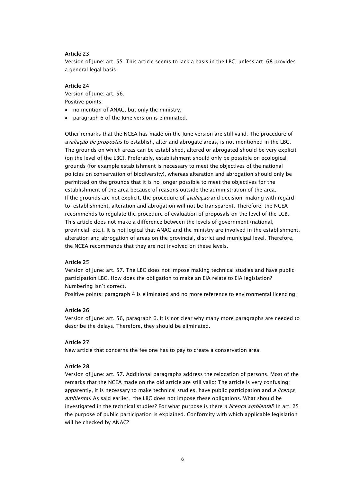### Article 23

Version of June: art. 55. This article seems to lack a basis in the LBC, unless art. 68 provides a general legal basis.

### Article 24

Version of June: art. 56. Positive points:

- no mention of ANAC, but only the ministry;
- paragraph 6 of the June version is eliminated.

Other remarks that the NCEA has made on the June version are still valid: The procedure of avaliação de propostas to establish, alter and abrogate areas, is not mentioned in the LBC. The grounds on which areas can be established, altered or abrogated should be very explicit (on the level of the LBC). Preferably, establishment should only be possible on ecological grounds (for example establishment is necessary to meet the objectives of the national policies on conservation of biodiversity), whereas alteration and abrogation should only be permitted on the grounds that it is no longer possible to meet the objectives for the establishment of the area because of reasons outside the administration of the area. If the grounds are not explicit, the procedure of *avaliação* and decision-making with regard to establishment, alteration and abrogation will not be transparent. Therefore, the NCEA recommends to regulate the procedure of evaluation of proposals on the level of the LCB. This article does not make a difference between the levels of government (national, provincial, etc.). It is not logical that ANAC and the ministry are involved in the establishment, alteration and abrogation of areas on the provincial, district and municipal level. Therefore, the NCEA recommends that they are not involved on these levels.

### Article 25

Version of June: art. 57. The LBC does not impose making technical studies and have public participation LBC. How does the obligation to make an EIA relate to EIA legislation? Numbering isn't correct.

Positive points: paragraph 4 is eliminated and no more reference to environmental licencing.

### Article 26

Version of June: art. 56, paragraph 6. It is not clear why many more paragraphs are needed to describe the delays. Therefore, they should be eliminated.

### Article 27

New article that concerns the fee one has to pay to create a conservation area.

### Article 28

Version of June: art. 57. Additional paragraphs address the relocation of persons. Most of the remarks that the NCEA made on the old article are still valid: The article is very confusing: apparently, it is necessary to make technical studies, have public participation and a licença ambiental. As said earlier, the LBC does not impose these obligations. What should be investigated in the technical studies? For what purpose is there *a licenca ambiental*? In art. 25 the purpose of public participation is explained. Conformity with which applicable legislation will be checked by ANAC?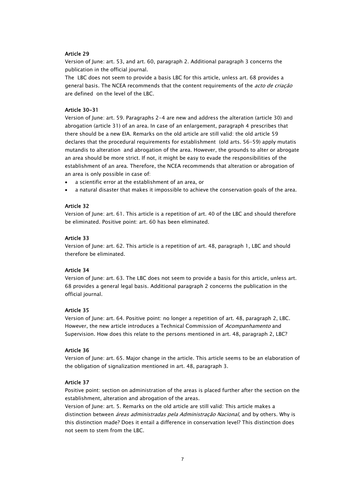### Article 29

Version of June: art. 53, and art. 60, paragraph 2. Additional paragraph 3 concerns the publication in the official journal.

The LBC does not seem to provide a basis LBC for this article, unless art. 68 provides a general basis. The NCEA recommends that the content requirements of the acto de criação are defined on the level of the LBC.

### Article 30-31

Version of June: art. 59. Paragraphs 2-4 are new and address the alteration (article 30) and abrogation (article 31) of an area. In case of an enlargement, paragraph 4 prescribes that there should be a new EIA. Remarks on the old article are still valid: the old article 59 declares that the procedural requirements for establishment (old arts. 56-59) apply mutatis mutandis to alteration and abrogation of the area. However, the grounds to alter or abrogate an area should be more strict. If not, it might be easy to evade the responsibilities of the establishment of an area. Therefore, the NCEA recommends that alteration or abrogation of an area is only possible in case of:

- a scientific error at the establishment of an area, or
- a natural disaster that makes it impossible to achieve the conservation goals of the area.

### Article 32

Version of June: art. 61. This article is a repetition of art. 40 of the LBC and should therefore be eliminated. Positive point: art. 60 has been eliminated.

### Article 33

Version of June: art. 62. This article is a repetition of art. 48, paragraph 1, LBC and should therefore be eliminated.

### Article 34

Version of June: art. 63. The LBC does not seem to provide a basis for this article, unless art. 68 provides a general legal basis. Additional paragraph 2 concerns the publication in the official journal.

### Article 35

Version of June: art. 64. Positive point: no longer a repetition of art. 48, paragraph 2, LBC. However, the new article introduces a Technical Commission of Acompanhamento and Supervision. How does this relate to the persons mentioned in art. 48, paragraph 2, LBC?

### Article 36

Version of June: art. 65. Major change in the article. This article seems to be an elaboration of the obligation of signalization mentioned in art. 48, paragraph 3.

### Article 37

Positive point: section on administration of the areas is placed further after the section on the establishment, alteration and abrogation of the areas.

Version of June: art. 5. Remarks on the old article are still valid: This article makes a distinction between *áreas administradas pela Administração Nacional*, and by others. Why is this distinction made? Does it entail a difference in conservation level? This distinction does not seem to stem from the LBC.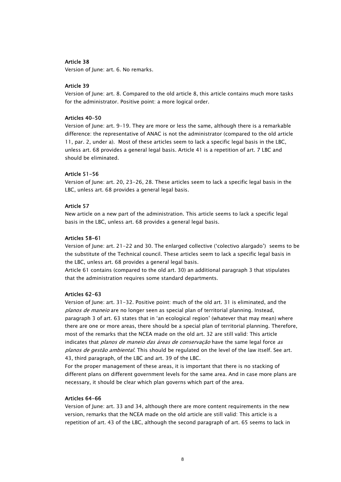### Article 38

Version of June: art. 6. No remarks.

### Article 39

Version of June: art. 8. Compared to the old article 8, this article contains much more tasks for the administrator. Positive point: a more logical order.

### Articles 40-50

Version of June: art. 9-19. They are more or less the same, although there is a remarkable difference: the representative of ANAC is not the administrator (compared to the old article 11, par. 2, under a). Most of these articles seem to lack a specific legal basis in the LBC, unless art. 68 provides a general legal basis. Article 41 is a repetition of art. 7 LBC and should be eliminated.

### Article 51-56

Version of June: art. 20, 23-26, 28. These articles seem to lack a specific legal basis in the LBC, unless art. 68 provides a general legal basis.

### Article 57

New article on a new part of the administration. This article seems to lack a specific legal basis in the LBC, unless art. 68 provides a general legal basis.

### Articles 58-61

Version of June: art. 21-22 and 30. The enlarged collective ('colectivo alargado') seems to be the substitute of the Technical council. These articles seem to lack a specific legal basis in the LBC, unless art. 68 provides a general legal basis.

Article 61 contains (compared to the old art. 30) an additional paragraph 3 that stipulates that the administration requires some standard departments.

### Articles 62-63

Version of June: art. 31-32. Positive point: much of the old art. 31 is eliminated, and the planos de maneio are no longer seen as special plan of territorial planning. Instead, paragraph 3 of art. 63 states that in 'an ecological region' (whatever that may mean) where there are one or more areas, there should be a special plan of territorial planning. Therefore, most of the remarks that the NCEA made on the old art. 32 are still valid: This article indicates that *planos de maneio das áreas de conservação* have the same legal force *as* planos de gestão ambiental. This should be regulated on the level of the law itself. See art. 43, third paragraph, of the LBC and art. 39 of the LBC.

For the proper management of these areas, it is important that there is no stacking of different plans on different government levels for the same area. And in case more plans are necessary, it should be clear which plan governs which part of the area.

### Articles 64-66

Version of June: art. 33 and 34, although there are more content requirements in the new version, remarks that the NCEA made on the old article are still valid: This article is a repetition of art. 43 of the LBC, although the second paragraph of art. 65 seems to lack in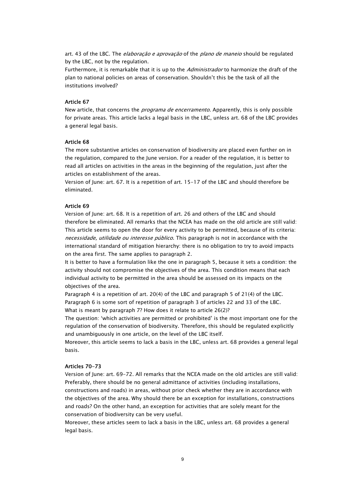art. 43 of the LBC. The *elaboração e aprovação* of the *plano de maneio* should be regulated by the LBC, not by the regulation.

Furthermore, it is remarkable that it is up to the *Administrador* to harmonize the draft of the plan to national policies on areas of conservation. Shouldn't this be the task of all the institutions involved?

### Article 67

New article, that concerns the *programa de encerramento*. Apparently, this is only possible for private areas. This article lacks a legal basis in the LBC, unless art. 68 of the LBC provides a general legal basis.

### Article 68

The more substantive articles on conservation of biodiversity are placed even further on in the regulation, compared to the June version. For a reader of the regulation, it is better to read all articles on activities in the areas in the beginning of the regulation, just after the articles on establishment of the areas.

Version of June: art. 67. It is a repetition of art. 15-17 of the LBC and should therefore be eliminated.

### Article 69

Version of June: art. 68. It is a repetition of art. 26 and others of the LBC and should therefore be eliminated. All remarks that the NCEA has made on the old article are still valid: This article seems to open the door for every activity to be permitted, because of its criteria: necessidade, utilidade ou interesse público. This paragraph is not in accordance with the international standard of mitigation hierarchy: there is no obligation to try to avoid impacts on the area first. The same applies to paragraph 2.

It is better to have a formulation like the one in paragraph 5, because it sets a condition: the activity should not compromise the objectives of the area. This condition means that each individual activity to be permitted in the area should be assessed on its impacts on the objectives of the area.

Paragraph 4 is a repetition of art. 20(4) of the LBC and paragraph 5 of 21(4) of the LBC. Paragraph 6 is some sort of repetition of paragraph 3 of articles 22 and 33 of the LBC. What is meant by paragraph 7? How does it relate to article 26(2)?

The question: 'which activities are permitted or prohibited' is the most important one for the regulation of the conservation of biodiversity. Therefore, this should be regulated explicitly and unambiguously in one article, on the level of the LBC itself.

Moreover, this article seems to lack a basis in the LBC, unless art. 68 provides a general legal basis.

### Articles 70-73

Version of June: art. 69-72. All remarks that the NCEA made on the old articles are still valid: Preferably, there should be no general admittance of activities (including installations, constructions and roads) in areas, without prior check whether they are in accordance with the objectives of the area. Why should there be an exception for installations, constructions and roads? On the other hand, an exception for activities that are solely meant for the conservation of biodiversity can be very useful.

Moreover, these articles seem to lack a basis in the LBC, unless art. 68 provides a general legal basis.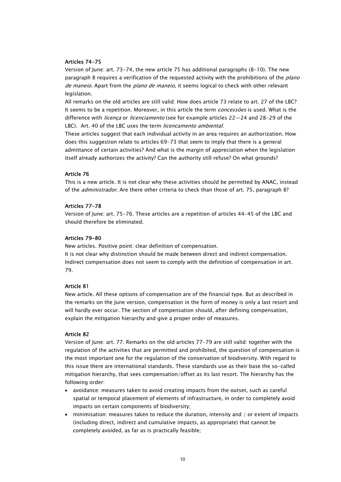### Articles 74-75

Version of June: art. 73-74, the new article 75 has additional paragraphs (8-10). The new paragraph 8 requires a verification of the requested activity with the prohibitions of the plano de maneio. Apart from the *plano de maneio*, it seems logical to check with other relevant legislation.

All remarks on the old articles are still valid: How does article 73 relate to art. 27 of the LBC? It seems to be a repetition. Moreover, in this article the term *concessões* is used. What is the difference with *licença* or *licenciamento* (see for example articles 22-24 and 28-29 of the LBC). Art. 40 of the LBC uses the term licencamento ambiental.

These articles suggest that each individual activity in an area requires an authorization. How does this suggestion relate to articles 69-73 that seem to imply that there is a general admittance of certain activities? And what is the margin of appreciation when the legislation itself already authorizes the activity? Can the authority still refuse? On what grounds?

### Article 76

This is a new article. It is not clear why these activities should be permitted by ANAC, instead of the *administrador*. Are there other criteria to check than those of art. 75, paragraph 8?

### Articles 77-78

Version of June: art. 75-76. These articles are a repetition of articles 44-45 of the LBC and should therefore be eliminated.

### Articles 79-80

New articles. Positive point: clear definition of compensation.

It is not clear why distinction should be made between direct and indirect compensation. Indirect compensation does not seem to comply with the definition of compensation in art. 79.

### Article 81

New article. All these options of compensation are of the financial type. But as described in the remarks on the June version, compensation in the form of money is only a last resort and will hardly ever occur. The section of compensation should, after defining compensation, explain the mitigation hierarchy and give a proper order of measures.

### Article 82

Version of June: art. 77. Remarks on the old articles 77-79 are still valid: together with the regulation of the activities that are permitted and prohibited, the question of compensation is the most important one for the regulation of the conservation of biodiversity. With regard to this issue there are international standards. These standards use as their base the so-called mitigation hierarchy, that sees compensation/offset as its last resort. The hierarchy has the following order:

- avoidance: measures taken to avoid creating impacts from the outset, such as careful spatial or temporal placement of elements of infrastructure, in order to completely avoid impacts on certain components of biodiversity;
- minimisation: measures taken to reduce the duration, intensity and / or extent of impacts (including direct, indirect and cumulative impacts, as appropriate) that cannot be completely avoided, as far as is practically feasible;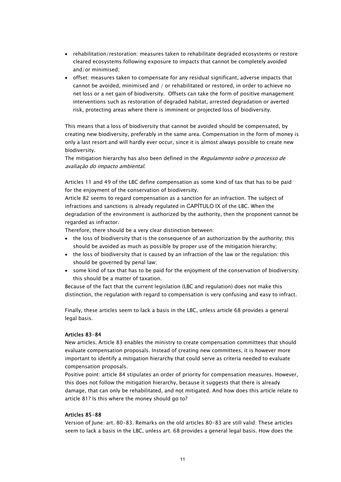- rehabilitation/restoration: measures taken to rehabilitate degraded ecosystems or restore cleared ecosystems following exposure to impacts that cannot be completely avoided and/or minimised;
- offset: measures taken to compensate for any residual significant, adverse impacts that cannot be avoided, minimised and / or rehabilitated or restored, in order to achieve no net loss or a net gain of biodiversity. Offsets can take the form of positive management interventions such as restoration of degraded habitat, arrested degradation or averted risk, protecting areas where there is imminent or projected loss of biodiversity.

This means that a loss of biodiversity that cannot be avoided should be compensated, by creating new biodiversity, preferably in the same area. Compensation in the form of money is only a last resort and will hardly ever occur, since it is almost always possible to create new biodiversity.

The mitigation hierarchy has also been defined in the Regulamento sobre o processo de avaliação do impacto ambiental.

Articles 11 and 49 of the LBC define compensation as some kind of tax that has to be paid for the enjoyment of the conservation of biodiversity.

Article 82 seems to regard compensation as a sanction for an infraction. The subject of infractions and sanctions is already regulated in CAPÍTULO IX of the LBC. When the degradation of the environment is authorized by the authority, then the proponent cannot be regarded as infractor.

Therefore, there should be a very clear distinction between:

- the loss of biodiversity that is the consequence of an authorization by the authority; this should be avoided as much as possible by proper use of the mitigation hierarchy;
- the loss of biodiversity that is caused by an infraction of the law or the regulation: this should be governed by penal law;
- some kind of tax that has to be paid for the enjoyment of the conservation of biodiversity: this should be a matter of taxation.

Because of the fact that the current legislation (LBC and regulation) does not make this distinction, the regulation with regard to compensation is very confusing and easy to infract.

Finally, these articles seem to lack a basis in the LBC, unless article 68 provides a general legal basis.

### Articles 83-84

New articles. Article 83 enables the ministry to create compensation committees that should evaluate compensation proposals. Instead of creating new committees, it is however more important to identify a mitigation hierarchy that could serve as criteria needed to evaluate compensation proposals.

Positive point: article 84 stipulates an order of priority for compensation measures. However, this does not follow the mitigation hierarchy, because it suggests that there is already damage, that can only be rehabilitated, and not mitigated. And how does this article relate to article 81? Is this where the money should go to?

### Articles 85-88

Version of June: art. 80-83. Remarks on the old articles 80-83 are still valid: These articles seem to lack a basis in the LBC, unless art. 68 provides a general legal basis. How does the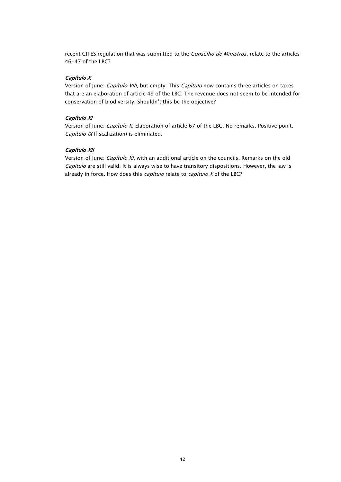recent CITES regulation that was submitted to the Conselho de Ministros, relate to the articles 46-47 of the LBC?

### Capítulo X

Version of June: *Capítulo VIII*, but empty. This *Capítulo* now contains three articles on taxes that are an elaboration of article 49 of the LBC. The revenue does not seem to be intended for conservation of biodiversity. Shouldn't this be the objective?

### Capítulo XI

Version of June: *Capítulo X*. Elaboration of article 67 of the LBC. No remarks. Positive point: Capítulo IX (fiscalization) is eliminated.

### Capítulo XII

Version of June: *Capítulo XI*, with an additional article on the councils. Remarks on the old Capítulo are still valid: It is always wise to have transitory dispositions. However, the law is already in force. How does this  $capitulo$  relate to  $capitulo$  X of the LBC?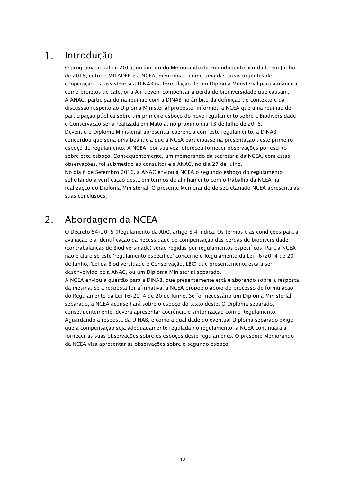#### $\mathbf{1}$ . Introdução

O programa anual de 2016, no âmbito do Memorando de Entendimento acordado em Junho de 2016, entre o MITADER e a NCEA, menciona - como uma das áreas urgentes de cooperação - a assistência à DINAB na formulação de um Diploma Ministerial para a maneira como projetos de categoria A+ devem compensar a perda de biodiversidade que causam. A ANAC, participando na reunião com a DINAB no âmbito da definição do contexto e da discussão respeito ao Diploma Ministerial proposto, informou à NCEA que uma reunião de participação pública sobre um primeiro esboço do novo regulamento sobre a Biodiversidade e Conservação seria realizada em Matola, no próximo dia 13 de Julho de 2016. Devendo o Diploma Ministerial apresentar coerência com este regulamento, a DINAB concordou que seria uma boa ideia que a NCEA participasse na presentação deste primeiro esboço do regulamento. A NCEA, por sua vez, ofereceu fornecer observações por escrito sobre este esboço. Consequentemente, um memorando da secretaria da NCEA, com estas observações, foi submetido ao consultor e a ANAC, no dia 27 de Julho. No dia 6 de Setembro 2016, a ANAC enviou à NCEA o segundo esboço do regulamento solicitando a verificação desta em termos de alinhamento com o trabalho da NCEA na realização do Diploma Ministerial. O presente Memorando de secretariado NCEA apresenta as suas conclusões.

#### $2.$ Abordagem da NCEA

O Decreto 54/2015 (Regulamento da AIA), artigo 8.4 indica: Os termos e as condições para a avaliação e a identificação da necessidade de compensação das perdas de biodiversidade (contrabalanças de Biodiversidade) serão regidas por regulamentos específicos. Para a NCEA não é claro se este 'regulamento específico' concerne o Regulamento da Lei 16/2014 de 20 de Junho, (Lei da Biodiversidade e Conservação, LBC) que presentemente está a ser desenvolvido pela ANAC, ou um Diploma Ministerial separado.

A NCEA enviou a questão para a DINAB, que presentemente está elaborando sobre a resposta da mesma. Se a resposta for afirmativa, a NCEA propõe o apoio do processo de formulação do Regulamento da Lei 16/2014 de 20 de Junho. Se for necessário um Diploma Ministerial separado, a NCEA aconselhará sobre o esboço do texto deste. O Diploma separado, consequentemente, deverá apresentar coerência e sintonização com o Regulamento. Aguardando a resposta da DINAB, e como a qualidade do eventual Diploma separado exige que a compensação seja adequadamente regulada no regulamento, a NCEA continuará a fornecer as suas observações sobre os esboços deste regulamento. O presente Memorando da NCEA visa apresentar as observações sobre o segundo esboço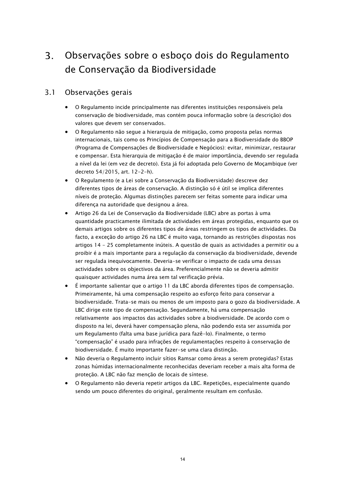### $3<sub>1</sub>$ Observações sobre o esboço dois do Regulamento de Conservação da Biodiversidade

### 3.1 Observações gerais

- O Regulamento incide principalmente nas diferentes instituições responsáveis pela conservação de biodiversidade, mas contém pouca informação sobre (a descrição) dos valores que devem ser conservados.
- O Regulamento não segue a hierarquia de mitigação, como proposta pelas normas internacionais, tais como os Princípios de Compensação para a Biodiversidade do BBOP (Programa de Compensações de Biodiversidade e Negócios): evitar, minimizar, restaurar e compensar. Esta hierarquia de mitigação é de maior importância, devendo ser regulada a nível da lei (em vez de decreto). Esta já foi adoptada pelo Governo de Moçambique (ver decreto 54/2015, art. 12-2-h).
- O Regulamento (e a Lei sobre a Conservação da Biodiversidade) descreve dez diferentes tipos de áreas de conservação. A distinção só é útil se implica diferentes níveis de proteção. Algumas distinções parecem ser feitas somente para indicar uma diferença na autoridade que designou a área.
- Artigo 26 da Lei de Conservação da Biodiversidade (LBC) abre as portas à uma quantidade practicamente ilimitada de actividades em áreas protegidas, enquanto que os demais artigos sobre os diferentes tipos de áreas restringem os tipos de actividades. Da facto, a exceção do artigo 26 na LBC é muito vaga, tornando as restrições dispostas nos artigos 14 - 25 completamente inúteis. A questão de quais as actividades a permitir ou a proibir é a mais importante para a regulação da conservação da biodiversidade, devende ser regulada inequivocamente. Deveria-se verificar o impacto de cada uma dessas actividades sobre os objectivos da área. Preferencialmente não se deveria admitir quaisquer actividades numa área sem tal verificação prévia.
- É importante salientar que o artigo 11 da LBC aborda diferentes tipos de compensação. Primeiramente, há uma compensação respeito ao esforço feito para conservar a biodiversidade. Trata-se mais ou menos de um imposto para o gozo da biodiversidade. A LBC dirige este tipo de compensação. Segundamente, há uma compensação relativamente aos impactos das actividades sobre a biodiversidade. De acordo com o disposto na lei, deverá haver compensação plena, não podendo esta ser assumida por um Regulamento (falta uma base jurídica para fazê-lo). Finalmente, o termo "compensação" é usado para infrações de regulamentações respeito à conservação de biodiversidade. É muito importante fazer-se uma clara distinção.
- Não deveria o Regulamento incluir sítios Ramsar como áreas a serem protegidas? Estas zonas húmidas internacionalmente reconhecidas deveriam receber a mais alta forma de proteção. A LBC não faz menção de locais de síntese.
- O Regulamento não deveria repetir artigos da LBC. Repetições, especialmente quando sendo um pouco diferentes do original, geralmente resultam em confusão.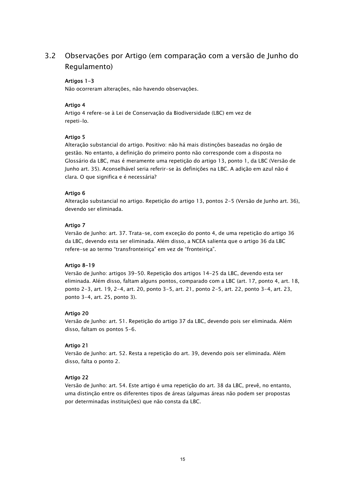### 3.2 Observações por Artigo (em comparação com a versão de Junho do Regulamento)

### Artigos 1-3

Não ocorreram alterações, não havendo observações.

### Artigo 4

Artigo 4 refere-se à Lei de Conservação da Biodiversidade (LBC) em vez de repeti-lo.

### Artigo 5

Alteração substancial do artigo. Positivo: não há mais distinções baseadas no órgão de gestão. No entanto, a definição do primeiro ponto não corresponde com a disposta no Glossário da LBC, mas é meramente uma repetição do artigo 13, ponto 1, da LBC (Versão de Junho art. 35). Aconselhável seria referir-se às definições na LBC. A adição em azul não é clara. O que significa e é necessária?

### Artigo 6

Alteração substancial no artigo. Repetição do artigo 13, pontos 2-5 (Versão de Junho art. 36), devendo ser eliminada.

### Artigo 7

Versão de Junho: art. 37. Trata-se, com exceção do ponto 4, de uma repetição do artigo 36 da LBC, devendo esta ser eliminada. Além disso, a NCEA salienta que o artigo 36 da LBC refere-se ao termo "transfronteiriça" em vez de "fronteiriça".

### Artigo 8-19

Versão de Junho: artigos 39-50. Repetição dos artigos 14-25 da LBC, devendo esta ser eliminada. Além disso, faltam alguns pontos, comparado com a LBC (art. 17, ponto 4, art. 18, ponto 2-3, art. 19, 2-4, art. 20, ponto 3-5, art. 21, ponto 2-5, art. 22, ponto 3-4, art. 23, ponto 3-4, art. 25, ponto 3).

### Artigo 20

Versão de Junho: art. 51. Repetição do artigo 37 da LBC, devendo pois ser eliminada. Além disso, faltam os pontos 5-6.

### Artigo 21

Versão de Junho: art. 52. Resta a repetição do art. 39, devendo pois ser eliminada. Além disso, falta o ponto 2.

### Artigo 22

Versão de Junho: art. 54. Este artigo é uma repetição do art. 38 da LBC, prevê, no entanto, uma distinção entre os diferentes tipos de áreas (algumas áreas não podem ser propostas por determinadas instituições) que não consta da LBC.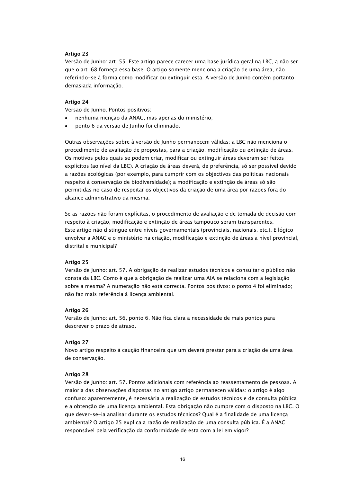### Artigo 23

Versão de Junho: art. 55. Este artigo parece carecer uma base jurídica geral na LBC, a não ser que o art. 68 forneça essa base. O artigo somente menciona a criação de uma área, não referindo-se à forma como modificar ou extinguir esta. A versão de Junho contém portanto demasiada informação.

### Artigo 24

Versão de Junho. Pontos positivos:

- nenhuma menção da ANAC, mas apenas do ministério;
- ponto 6 da versão de Junho foi eliminado.

Outras observações sobre à versão de Junho permanecem válidas: a LBC não menciona o procedimento de avaliação de propostas, para a criação, modificação ou extinção de áreas. Os motivos pelos quais se podem criar, modificar ou extinguir áreas deveram ser feitos explícitos (ao nível da LBC). A criação de áreas deverá, de preferência, só ser possível devido a razões ecológicas (por exemplo, para cumprir com os objectivos das políticas nacionais respeito à conservação de biodiversidade); a modificação e extinção de áreas só são permitidas no caso de respeitar os objectivos da criação de uma área por razões fora do alcance administrativo da mesma.

Se as razões não foram explícitas, o procedimento de avaliação e de tomada de decisão com respeito à criação, modificação e extinção de áreas tampouco seram transparentes. Este artigo não distingue entre níveis governamentais (provinciais, nacionais, etc.). E lógico envolver a ANAC e o ministério na criação, modificação e extinção de áreas a nível provincial, distrital e municipal?

### Artigo 25

Versão de Junho: art. 57. A obrigação de realizar estudos técnicos e consultar o público não consta da LBC. Como é que a obrigação de realizar uma AIA se relaciona com a legislação sobre a mesma? A numeração não está correcta. Pontos positivos: o ponto 4 foi eliminado; não faz mais referência à licença ambiental.

### Artigo 26

Versão de Junho: art. 56, ponto 6. Não fica clara a necessidade de mais pontos para descrever o prazo de atraso.

### Artigo 27

Novo artigo respeito à caução financeira que um deverá prestar para a criação de uma área de conservação.

### Artigo 28

Versão de Junho: art. 57. Pontos adicionais com referência ao reassentamento de pessoas. A maioria das observações dispostas no antigo artigo permanecen válidas: o artigo é algo confuso: aparentemente, é necessária a realização de estudos técnicos e de consulta pública e a obtenção de uma licença ambiental. Esta obrigação não cumpre com o disposto na LBC. O que dever-se-ia analisar durante os estudos técnicos? Qual é a finalidade de uma licença ambiental? O artigo 25 explica a razão de realização de uma consulta pública. É a ANAC responsável pela verificação da conformidade de esta com a lei em vigor?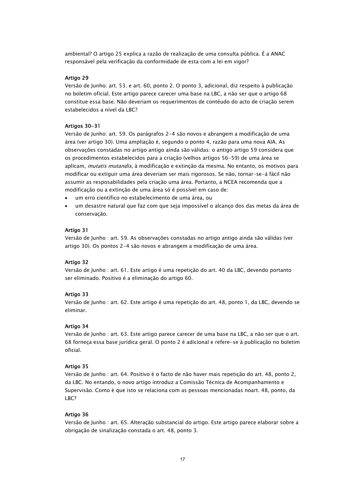ambiental? O artigo 25 explica a razão de realização de uma consulta pública. É a ANAC responsável pela verificação da conformidade de esta com a lei em vigor?

### Artigo 29

Versão de Junho: art. 53. e art. 60, ponto 2. O ponto 3, adicional, diz respeito à publicação no boletim oficial. Este artigo parece carecer uma base na LBC, a não ser que o artigo 68 constitue essa base. Não deveriam os requerimentos de contéudo do acto de criação serem estabelecidos a nível da LBC?

### Artigos 30-31

Versão de Junho: art. 59. Os parágrafos 2-4 são novos e abrangem a modificação de uma área (ver artigo 30). Uma ampliação é, segundo o ponto 4, razão para uma nova AIA. As observações constadas no artigo antigo ainda são válidas: o antigo artigo 59 considera que os procedimentos estabelecidos para a criação (velhos artigos 56-59) de uma área se aplicam, *mutatis mutandis*, à modificação e extinção da mesma. No entanto, os motivos para modificar ou extiguir uma área deveriam ser mais rigorosos. Se não, tornar-se-á fácil não assumir as resposabilidades pela criação uma área. Portanto, a NCEA recomenda que a modificação ou a extinção de uma área só é possível em caso de:

- um erro científico no estabelecimento de uma área, ou
- um desastre natural que faz com que seja impossível o alcanço dos das metas da área de conservação.

### Artigo 31

Versão de Junho : art. 59. As observações constadas no artigo antigo ainda são válidas (ver artigo 30). Os pontos 2-4 são novos e abrangem a modificação de uma área.

### Artigo 32

Versão de Junho : art. 61. Este artigo é uma repetição do art. 40 da LBC, devendo portanto ser eliminado. Positivo é a eliminação do artigo 60.

### Artigo 33

Versão de Junho : art. 62. Este artigo é uma repetição do art. 48, ponto 1, da LBC, devendo se eliminar.

### Artigo 34

Versão de Junho : art. 63. Este artigo parece carecer de uma base na LBC, a não ser que o art. 68 forneça essa base jurídica geral. O ponto 2 é adicional e refere-se à publicação no boletim oficial.

### Artigo 35

Versão de Junho : art. 64. Positivo é o facto de não haver mais repetição do art. 48, ponto 2, da LBC. No entando, o novo artigo introduz a Comissão Técnica de Acompanhamento e Supervisão. Como é que isto se relaciona com as pessoas mencionadas noart. 48, ponto, da LBC?

### Artigo 36

Versão de Junho : art. 65. Alteração substancial do artigo. Este artigo parece elaborar sobre a obrigação de sinalização constada o art. 48, ponto 3.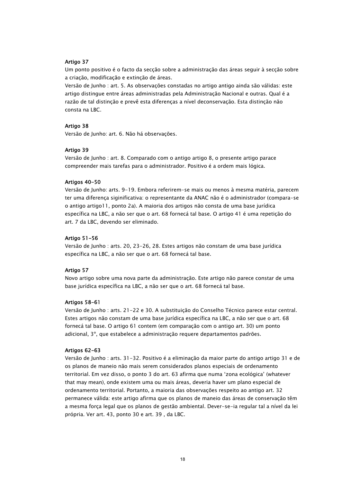### Artigo 37

Um ponto positivo é o facto da secção sobre a administração das áreas seguir à secção sobre a criação, modificação e extinção de áreas.

Versão de Junho : art. 5. As observações constadas no artigo antigo ainda são válidas: este artigo distingue entre áreas administradas pela Administração Nacional e outras. Qual é a razão de tal distinção e prevê esta diferenças a nível deconservação. Esta distinção não consta na LBC.

### Artigo 38

Versão de Junho: art. 6. Não há observações.

### Artigo 39

Versão de Junho : art. 8. Comparado com o antigo artigo 8, o presente artigo parace compreender mais tarefas para o administrador. Positivo é a ordem mais lógica.

### Artigos 40-50

Versão de Junho: arts. 9-19. Embora referirem-se mais ou menos à mesma matéria, parecem ter uma diferença siginificativa: o representante da ANAC não é o administrador (compara-se o antigo artigo11, ponto 2a). A maioria dos artigos não consta de uma base jurídica específica na LBC, a não ser que o art. 68 fornecá tal base. O artigo 41 é uma repetição do art. 7 da LBC, devendo ser eliminado.

### Artigo 51-56

Versão de Junho : arts. 20, 23-26, 28. Estes artigos não constam de uma base jurídica específica na LBC, a não ser que o art. 68 fornecá tal base.

### Artigo 57

Novo artigo sobre uma nova parte da administração. Este artigo não parece constar de uma base jurídica específica na LBC, a não ser que o art. 68 fornecá tal base.

### Artigos 58-61

Versão de Junho : arts. 21-22 e 30. A substituição do Conselho Técnico parece estar central. Estes artigos não constam de uma base jurídica específica na LBC, a não ser que o art. 68 fornecá tal base. O artigo 61 contem (em comparação com o antigo art. 30) um ponto adicional, 3º, que estabelece a administração requere departamentos padrões.

### Artigos 62-63

Versão de Junho : arts. 31-32. Positivo é a eliminação da maior parte do antigo artigo 31 e de os planos de maneio não mais serem considerados planos especiais de ordenamento territorial. Em vez disso, o ponto 3 do art. 63 afirma que numa 'zona ecológica' (whatever that may mean), onde existem uma ou mais áreas, deveria haver um plano especial de ordenamento territorial. Portanto, a maioria das observações respeito ao antigo art. 32 permanece válida: este artigo afirma que os planos de maneio das áreas de conservação têm a mesma força legal que os planos de gestão ambiental. Dever-se-ia regular tal a nível da lei própria. Ver art. 43, ponto 30 e art. 39 , da LBC.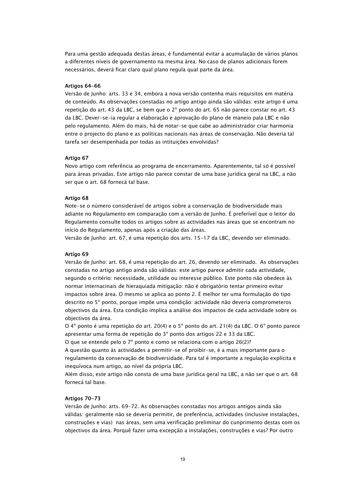Para uma gestão adequada destas áreas, é fundamental evitar a acumulação de vários planos a diferentes níveis de governamento na mesma área. No caso de planos adicionais forem necessários, deverá ficar claro qual plano regula qual parte da área.

### Artigos 64-66

Versão de Junho: arts. 33 e 34, embora a nova versão contenha mais requisitos em matéria de conteúdo. As observações constadas no artigo antigo ainda são válidas: este artigo é uma repetição do art. 43 da LBC, se bem que o 2º ponto do art. 65 não parece constar no art. 43 da LBC. Dever-se-ia regular a elaboração e aprovação do plano de maneio pala LBC e não pelo regulamento. Além do mais, há de notar-se que cabe ao administrador criar harmonia entre o projecto do plano e as políticas nacionais nas áreas de conservação. Não deveria tal tarefa ser desempenhada por todas as intituições envolvidas?

### Artigo 67

Novo artigo com referência ao programa de encerramento. Aparentemente, tal só é possível para áreas privadas. Este artigo não parece constar de uma base jurídica geral na LBC, a não ser que o art. 68 fornecá tal base.

### Artigo 68

Note-se o número considerável de artigos sobre a conservação de biodiversidade mais adiante no Regulamento em comparação com a versão de Junho. É preferível que o leitor do Regulamento consulte todos os artigos sobre as actividades nas áreas que se encontram no início do Regulamento, apenas após a criação das áreas.

Versão de Junho: art. 67, é uma repetição dos arts. 15-17 da LBC, devendo ser eliminado.

### Artigo 69

Versão de Junho: art. 68, é uma repetição do art. 26, devendo ser eliminado. As observações constadas no artigo antigo ainda são válidas: este artigo parece admitir cada actividade, segundo o critério: necessidade, utilidade ou interesse público. Este ponto não obedece às normar internacinais de hieraquiada mitigação: não é obrigatório tentar primeiro evitar impactos sobre área. O mesmo se aplica ao ponto 2. É melhor ter uma formulação do tipo descrito no 5º ponto, porque impõe uma condição: actividade não deveria comprometeros objectivos da área. Esta condição implica a análise dos impactos de cada actividade sobre os objectivos da área.

O 4º ponto é uma repetição do art. 20(4) e o 5º ponto do art. 21(4) da LBC. O 6º ponto parece apresentar uma forma de repetição do 3º ponto dos artigos 22 e 33 da LBC.

O que se entende pelo o 7º ponto e como se relaciona com o artigo 26(2)?

A questão quanto às actividades a permitir-se of proibir-se, é a mais importante para o regulamento da conservação de biodiversidade. Para tal é importante a regulação explícita e inequívoca num artigo, ao nível da própria LBC.

Além disso, este artigo não consta de uma base jurídica geral na LBC, a não ser que o art. 68 fornecá tal base.

### Artigos 70-73

Versão de Junho: arts. 69-72. As observações constadas nos artigos antigos ainda são válidas: geralmente não se deveria permitir, de preferência, actividades (inclusive instalações, construções e vias) nas áreas, sem uma verificação preliminar do cunprimento destas com os objectivos da área. Porquê fazer uma excepção a instalações, construções e vias? Por outro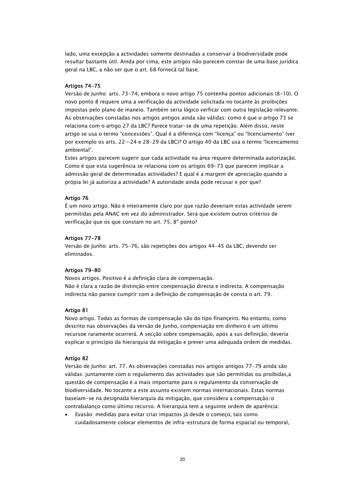lado, uma excepção a actividades somente destinadas a conservar a biodiversidade pode resultar bastante útil. Ainda por cima, este artigos não parecem constar de uma base jurídica geral na LBC, a não ser que o art. 68 fornecá tal base.

### Artigos 74-75

Versão de Junho: arts. 73-74, embora o novo artigo 75 contenha pontos adicionais (8-10). O novo ponto 8 requere uma a verificação da actividade solicitada no tocante às proibições impostas pelo plano de maneio. Também seria lógico verficar com outra legislação relevante. As observações constadas nos artigos antigos ainda são válidas: como é que o artigo 73 se relaciona com o artigo 27 da LBC? Parece tratar-se de uma repetição. Além disso, neste artigo se usa o termo "concessões". Qual é a diferença com "licença" ou "licenciamento" (ver por exemplo os arts. 22—24 e 28-29 da LBC)? O artigo 40 da LBC usa o termo "licencamento ambiental".

Estes artigos parecem sugerir que cada actividade na área requere determinada autorização. Como é que esta sugerência se relaciona com os artigos 69-73 que parecem implicar a admissão geral de determinadas actividades? E qual é a margem de apreciação quando a própia lei já autoriza a actividade? A autoridade ainda pode recusar e por que?

### Artigo 76

É um novo artigo. Não é inteiramente claro por que razão deveriam estas actividade serem permitidas pela ANAC em vez do administrador. Será que existem outros critérios de verificação que os que constam no art. 75, 8º ponto?

### Artigos 77-78

Versão de Junho: arts. 75-76, são repetições dos artigos 44-45 da LBC, devendo ser eliminados.

### Artigos 79-80

Novos artigos. Positivo é a definição clara de compensação. Não é clara a razão de distinção entre compensação directa e indirecta. A compensação indirecta não parece cumprir com a definição de compensação de consta o art. 79.

### Artigo 81

Novo artigo. Todas as formas de compensação são do tipo finançeiro. No entanto, como descrito nas observações da versão de Junho, compensação em dinheiro é um último recursoe raramente ocorrerá. A secção sobre compensação, após a sus definição, deveria explicar o princípio da hierarquia da mitigação e prever uma adequada ordem de medidas.

### Artigo 82

Versão de Junho: art. 77. As observações constadas nos artigos antigos 77-79 ainda são válidas: juntamente com o regulamento das actividades que são permitidas ou proíbidas,a questão de compensação é a mais importante para o regulamento da conservação de biodiversidade. No tocante a este assunto existem normas internacionais. Estas normas baseiam-se na designada hierarquia da mitigação, que considera a compensação/o contrabalanço como último recurso. A hierarquia tem a seguinte ordem de aparência:

 Evasão: medidas para evitar criar impactos já desde o começo, tais como cuidadosamente colocar elementos de infra-estrutura de forma espacial ou temporal,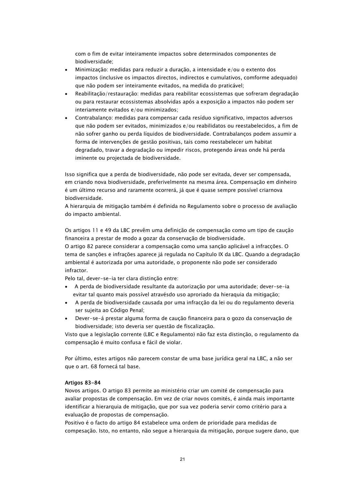com o fim de evitar inteiramente impactos sobre determinados componentes de biodiversidade;

- Minimização: medidas para reduzir a duração, a intensidade e/ou o extento dos impactos (inclusive os impactos directos, indirectos e cumulativos, comforme adequado) que não podem ser inteiramente evitados, na medida do praticável;
- Reabilitação/restauração: medidas para reabilitar ecossistemas que sofreram degradação ou para restaurar ecossistemas absolvidas após a exposição a impactos não podem ser interiamente evitados e/ou minimizados;
- Contrabalanço: medidas para compensar cada resíduo significativo, impactos adversos que não podem ser evitados, minimizados e/ou reabilidatos ou reestabelecidos, a fim de não sofrer ganho ou perda líquidos de biodiversidade. Contrabalanços podem assumir a forma de intervenções de gestão positivas, tais como reestabelecer um habitat degradado, travar a degradação ou impedir riscos, protegendo áreas onde há perda iminente ou projectada de biodiversidade.

Isso significa que a perda de biodiversidade, não pode ser evitada, dever ser compensada, em criando nova biodiversidade, preferivelmente na mesma área. Compensação em dinheiro é um último recurso and raramente ocorrerá, já que é quase sempre possível criarnova biodiversidade.

A hierarquia de mitigação também é definida no Regulamento sobre o processo de avaliação do impacto ambiental.

Os artigos 11 e 49 da LBC prevêm uma definição de compensação como um tipo de caução financeira a prestar de modo a gozar da conservação de biodiversidade.

O artigo 82 parece considerar a compensação como uma sanção aplicável a infracções. O tema de sanções e infrações aparece já regulada no Capítulo IX da LBC. Quando a degradação ambiental é autorizada por uma autoridade, o proponente não pode ser considerado infractor.

Pelo tal, dever-se-ia ter clara distinção entre:

- A perda de biodiversidade resultante da autorização por uma autoridade; dever-se-ia evitar tal quanto mais possível atravésdo uso aproriado da hieraquia da mitigação;
- A perda de biodiversidade causada por uma infracção da lei ou do regulamento deveria ser sujeita ao Código Penal;
- Dever-se-á prestar alguma forma de caução financeira para o gozo da conservação de biodiversidade; isto deveria ser questão de fiscalização.

Visto que a legislação corrente (LBC e Regulamento) não faz esta distinção, o regulamento da compensação é muito confusa e fácil de violar.

Por último, estes artigos não parecem constar de uma base jurídica geral na LBC, a não ser que o art. 68 fornecá tal base.

### Artigos 83-84

Novos artigos. O artigo 83 permite ao ministério criar um comité de compensação para avaliar propostas de compensação. Em vez de criar novos comités, é ainda mais importante identificar a hierarquia de mitigação, que por sua vez poderia servir como critério para a evaluação de propostas de compensação.

Positivo é o facto do artigo 84 estabelece uma ordem de prioridade para medidas de compesação. Isto, no entanto, não segue a hierarquia da mitigação, porque sugere dano, que